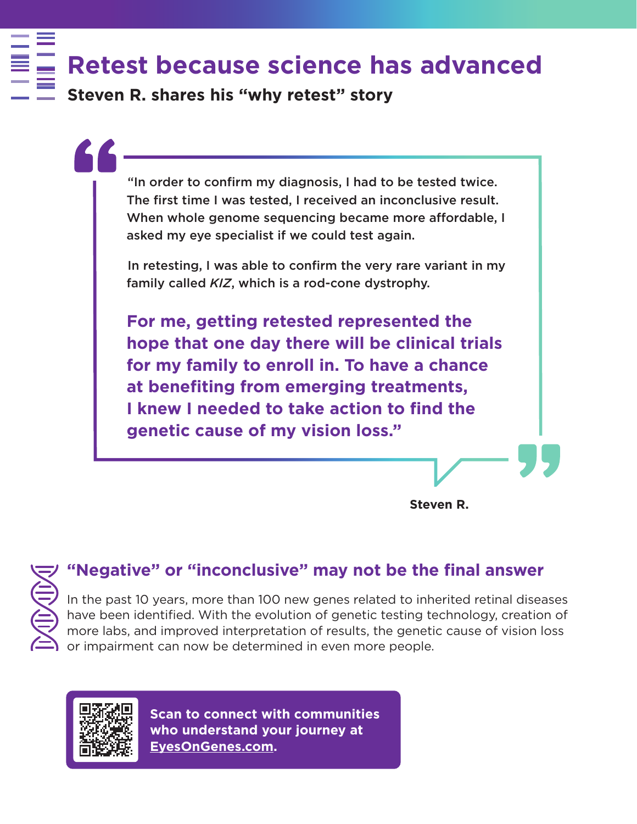**Retest because science has advanced**

**Steven R. shares his "why retest" story** 

"In order to confirm my diagnosis, I had to be tested twice. The first time I was tested, I received an inconclusive result. When whole genome sequencing became more affordable, I asked my eye specialist if we could test again.

In retesting, I was able to confirm the very rare variant in my family called *KIZ*, which is a rod-cone dystrophy.

**For me, getting retested represented the hope that one day there will be clinical trials for my family to enroll in. To have a chance**  at benefiting from emerging treatments, **I knew I needed to take action to find the genetic cause of my vision loss."**

**Steven R.**



In the past 10 years, more than 100 new genes related to inherited retinal diseases have been identified. With the evolution of genetic testing technology, creation of more labs, and improved interpretation of results, the genetic cause of vision loss or impairment can now be determined in even more people.



**Who understand your journey at**<br>FyesOnGenes.com **Scan to connect with communities EyesOnGenes.com.**